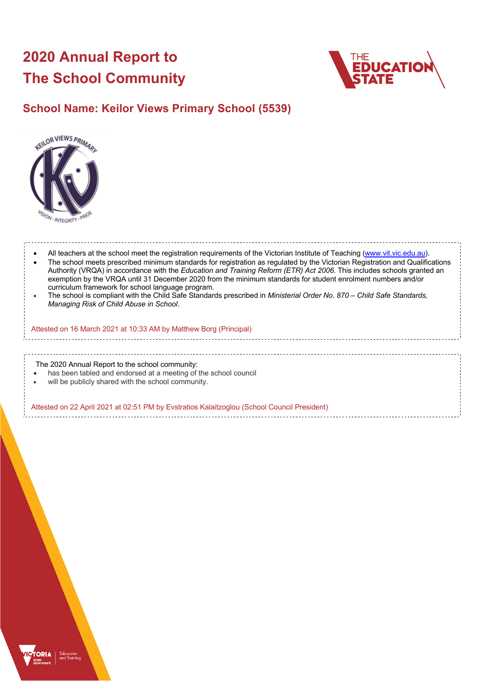# **2020 Annual Report to The School Community**



## **School Name: Keilor Views Primary School (5539)**



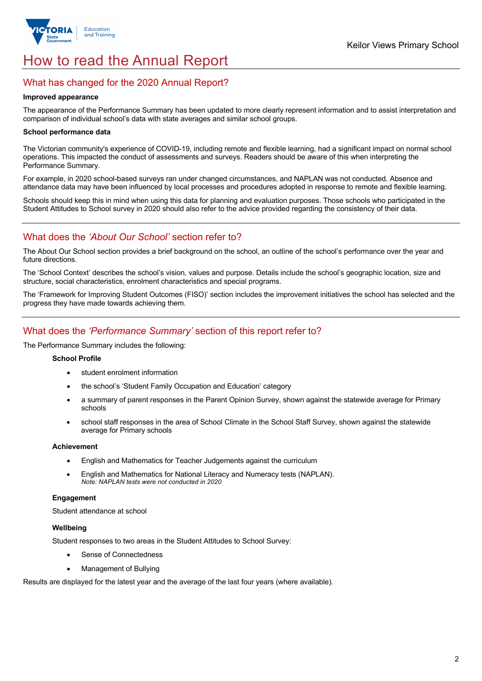

# How to read the Annual Report

## What has changed for the 2020 Annual Report?

#### **Improved appearance**

The appearance of the Performance Summary has been updated to more clearly represent information and to assist interpretation and comparison of individual school's data with state averages and similar school groups.

#### **School performance data**

The Victorian community's experience of COVID-19, including remote and flexible learning, had a significant impact on normal school operations. This impacted the conduct of assessments and surveys. Readers should be aware of this when interpreting the Performance Summary.

For example, in 2020 school-based surveys ran under changed circumstances, and NAPLAN was not conducted. Absence and attendance data may have been influenced by local processes and procedures adopted in response to remote and flexible learning.

Schools should keep this in mind when using this data for planning and evaluation purposes. Those schools who participated in the Student Attitudes to School survey in 2020 should also refer to the advice provided regarding the consistency of their data.

## What does the *'About Our School'* section refer to?

The About Our School section provides a brief background on the school, an outline of the school's performance over the year and future directions.

The 'School Context' describes the school's vision, values and purpose. Details include the school's geographic location, size and structure, social characteristics, enrolment characteristics and special programs.

The 'Framework for Improving Student Outcomes (FISO)' section includes the improvement initiatives the school has selected and the progress they have made towards achieving them.

## What does the *'Performance Summary'* section of this report refer to?

The Performance Summary includes the following:

#### **School Profile**

- student enrolment information
- the school's 'Student Family Occupation and Education' category
- a summary of parent responses in the Parent Opinion Survey, shown against the statewide average for Primary schools
- school staff responses in the area of School Climate in the School Staff Survey, shown against the statewide average for Primary schools

#### **Achievement**

- English and Mathematics for Teacher Judgements against the curriculum
- English and Mathematics for National Literacy and Numeracy tests (NAPLAN). *Note: NAPLAN tests were not conducted in 2020*

#### **Engagement**

Student attendance at school

#### **Wellbeing**

Student responses to two areas in the Student Attitudes to School Survey:

- Sense of Connectedness
- Management of Bullying

Results are displayed for the latest year and the average of the last four years (where available).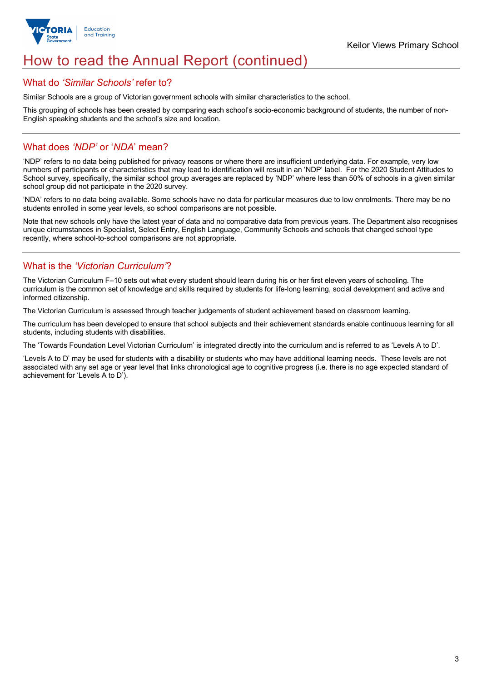

# How to read the Annual Report (continued)

## What do *'Similar Schools'* refer to?

Similar Schools are a group of Victorian government schools with similar characteristics to the school.

This grouping of schools has been created by comparing each school's socio-economic background of students, the number of non-English speaking students and the school's size and location.

## What does *'NDP'* or '*NDA*' mean?

'NDP' refers to no data being published for privacy reasons or where there are insufficient underlying data. For example, very low numbers of participants or characteristics that may lead to identification will result in an 'NDP' label. For the 2020 Student Attitudes to School survey, specifically, the similar school group averages are replaced by 'NDP' where less than 50% of schools in a given similar school group did not participate in the 2020 survey.

'NDA' refers to no data being available. Some schools have no data for particular measures due to low enrolments. There may be no students enrolled in some year levels, so school comparisons are not possible.

Note that new schools only have the latest year of data and no comparative data from previous years. The Department also recognises unique circumstances in Specialist, Select Entry, English Language, Community Schools and schools that changed school type recently, where school-to-school comparisons are not appropriate.

## What is the *'Victorian Curriculum'*?

The Victorian Curriculum F–10 sets out what every student should learn during his or her first eleven years of schooling. The curriculum is the common set of knowledge and skills required by students for life-long learning, social development and active and informed citizenship.

The Victorian Curriculum is assessed through teacher judgements of student achievement based on classroom learning.

The curriculum has been developed to ensure that school subjects and their achievement standards enable continuous learning for all students, including students with disabilities.

The 'Towards Foundation Level Victorian Curriculum' is integrated directly into the curriculum and is referred to as 'Levels A to D'.

'Levels A to D' may be used for students with a disability or students who may have additional learning needs. These levels are not associated with any set age or year level that links chronological age to cognitive progress (i.e. there is no age expected standard of achievement for 'Levels A to D').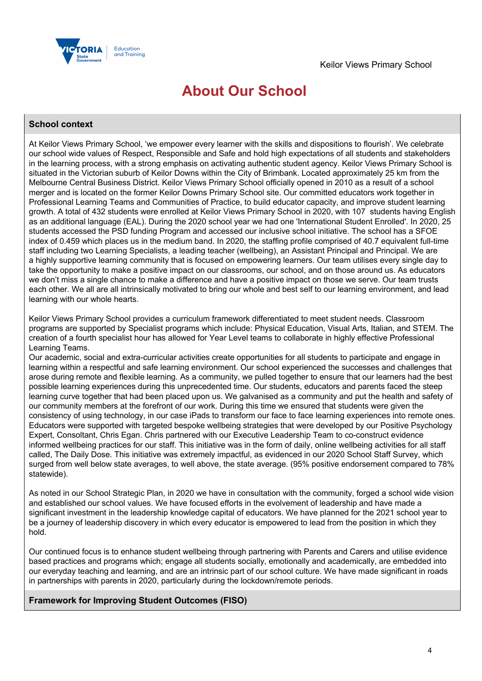

# **About Our School**

## **School context**

At Keilor Views Primary School, 'we empower every learner with the skills and dispositions to flourish'. We celebrate our school wide values of Respect, Responsible and Safe and hold high expectations of all students and stakeholders in the learning process, with a strong emphasis on activating authentic student agency. Keilor Views Primary School is situated in the Victorian suburb of Keilor Downs within the City of Brimbank. Located approximately 25 km from the Melbourne Central Business District. Keilor Views Primary School officially opened in 2010 as a result of a school merger and is located on the former Keilor Downs Primary School site. Our committed educators work together in Professional Learning Teams and Communities of Practice, to build educator capacity, and improve student learning growth. A total of 432 students were enrolled at Keilor Views Primary School in 2020, with 107 students having English as an additional language (EAL). During the 2020 school year we had one 'International Student Enrolled'. In 2020, 25 students accessed the PSD funding Program and accessed our inclusive school initiative. The school has a SFOE index of 0.459 which places us in the medium band. In 2020, the staffing profile comprised of 40.7 equivalent full-time staff including two Learning Specialists, a leading teacher (wellbeing), an Assistant Principal and Principal. We are a highly supportive learning community that is focused on empowering learners. Our team utilises every single day to take the opportunity to make a positive impact on our classrooms, our school, and on those around us. As educators we don't miss a single chance to make a difference and have a positive impact on those we serve. Our team trusts each other. We all are all intrinsically motivated to bring our whole and best self to our learning environment, and lead learning with our whole hearts.

Keilor Views Primary School provides a curriculum framework differentiated to meet student needs. Classroom programs are supported by Specialist programs which include: Physical Education, Visual Arts, Italian, and STEM. The creation of a fourth specialist hour has allowed for Year Level teams to collaborate in highly effective Professional Learning Teams.

Our academic, social and extra-curricular activities create opportunities for all students to participate and engage in learning within a respectful and safe learning environment. Our school experienced the successes and challenges that arose during remote and flexible learning. As a community, we pulled together to ensure that our learners had the best possible learning experiences during this unprecedented time. Our students, educators and parents faced the steep learning curve together that had been placed upon us. We galvanised as a community and put the health and safety of our community members at the forefront of our work. During this time we ensured that students were given the consistency of using technology, in our case iPads to transform our face to face learning experiences into remote ones. Educators were supported with targeted bespoke wellbeing strategies that were developed by our Positive Psychology Expert, Consoltant, Chris Egan. Chris partnered with our Executive Leadership Team to co-construct evidence informed wellbeing practices for our staff. This initiative was in the form of daily, online wellbeing activities for all staff called, The Daily Dose. This initiative was extremely impactful, as evidenced in our 2020 School Staff Survey, which surged from well below state averages, to well above, the state average. (95% positive endorsement compared to 78% statewide).

As noted in our School Strategic Plan, in 2020 we have in consultation with the community, forged a school wide vision and established our school values. We have focused efforts in the evolvement of leadership and have made a significant investment in the leadership knowledge capital of educators. We have planned for the 2021 school year to be a journey of leadership discovery in which every educator is empowered to lead from the position in which they hold.

Our continued focus is to enhance student wellbeing through partnering with Parents and Carers and utilise evidence based practices and programs which; engage all students socially, emotionally and academically, are embedded into our everyday teaching and learning, and are an intrinsic part of our school culture. We have made significant in roads in partnerships with parents in 2020, particularly during the lockdown/remote periods.

### **Framework for Improving Student Outcomes (FISO)**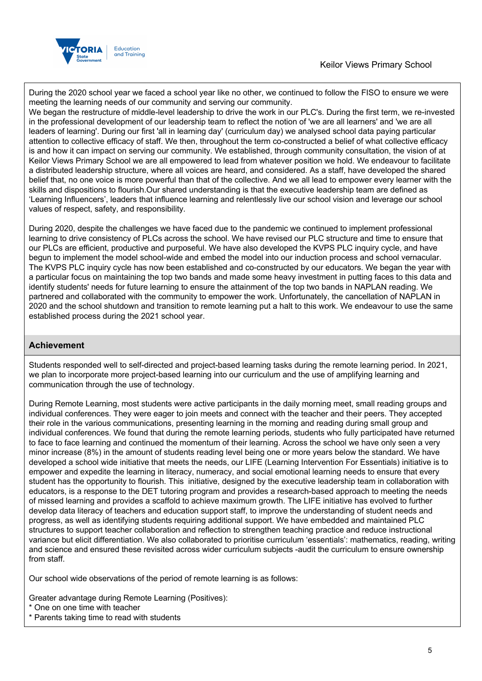

During the 2020 school year we faced a school year like no other, we continued to follow the FISO to ensure we were meeting the learning needs of our community and serving our community.

We began the restructure of middle-level leadership to drive the work in our PLC's. During the first term, we re-invested in the professional development of our leadership team to reflect the notion of 'we are all learners' and 'we are all leaders of learning'. During our first 'all in learning day' (curriculum day) we analysed school data paying particular attention to collective efficacy of staff. We then, throughout the term co-constructed a belief of what collective efficacy is and how it can impact on serving our community. We established, through community consultation, the vision of at Keilor Views Primary School we are all empowered to lead from whatever position we hold. We endeavour to facilitate a distributed leadership structure, where all voices are heard, and considered. As a staff, have developed the shared belief that, no one voice is more powerful than that of the collective. And we all lead to empower every learner with the skills and dispositions to flourish.Our shared understanding is that the executive leadership team are defined as 'Learning Influencers', leaders that influence learning and relentlessly live our school vision and leverage our school values of respect, safety, and responsibility.

During 2020, despite the challenges we have faced due to the pandemic we continued to implement professional learning to drive consistency of PLCs across the school. We have revised our PLC structure and time to ensure that our PLCs are efficient, productive and purposeful. We have also developed the KVPS PLC inquiry cycle, and have begun to implement the model school-wide and embed the model into our induction process and school vernacular. The KVPS PLC inquiry cycle has now been established and co-constructed by our educators. We began the year with a particular focus on maintaining the top two bands and made some heavy investment in putting faces to this data and identify students' needs for future learning to ensure the attainment of the top two bands in NAPLAN reading. We partnered and collaborated with the community to empower the work. Unfortunately, the cancellation of NAPLAN in 2020 and the school shutdown and transition to remote learning put a halt to this work. We endeavour to use the same established process during the 2021 school year.

## **Achievement**

Students responded well to self-directed and project-based learning tasks during the remote learning period. In 2021, we plan to incorporate more project-based learning into our curriculum and the use of amplifying learning and communication through the use of technology.

During Remote Learning, most students were active participants in the daily morning meet, small reading groups and individual conferences. They were eager to join meets and connect with the teacher and their peers. They accepted their role in the various communications, presenting learning in the morning and reading during small group and individual conferences. We found that during the remote learning periods, students who fully participated have returned to face to face learning and continued the momentum of their learning. Across the school we have only seen a very minor increase (8%) in the amount of students reading level being one or more years below the standard. We have developed a school wide initiative that meets the needs, our LIFE (Learning Intervention For Essentials) initiative is to empower and expedite the learning in literacy, numeracy, and social emotional learning needs to ensure that every student has the opportunity to flourish. This initiative, designed by the executive leadership team in collaboration with educators, is a response to the DET tutoring program and provides a research-based approach to meeting the needs of missed learning and provides a scaffold to achieve maximum growth. The LIFE initiative has evolved to further develop data literacy of teachers and education support staff, to improve the understanding of student needs and progress, as well as identifying students requiring additional support. We have embedded and maintained PLC structures to support teacher collaboration and reflection to strengthen teaching practice and reduce instructional variance but elicit differentiation. We also collaborated to prioritise curriculum 'essentials': mathematics, reading, writing and science and ensured these revisited across wider curriculum subjects -audit the curriculum to ensure ownership from staff.

Our school wide observations of the period of remote learning is as follows:

Greater advantage during Remote Learning (Positives):

- \* One on one time with teacher
- \* Parents taking time to read with students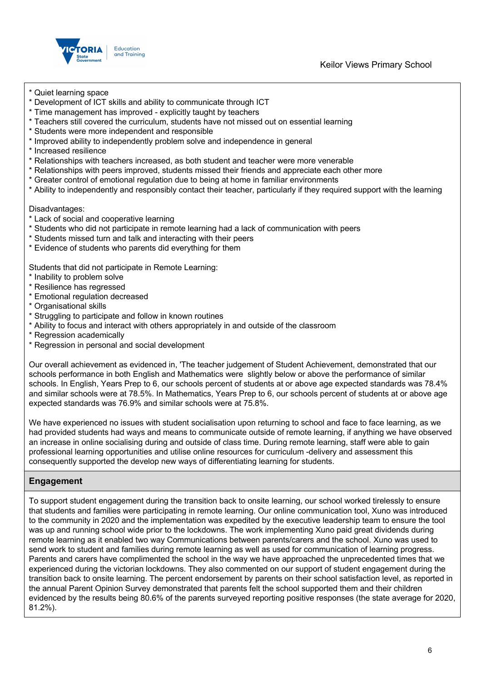

- \* Quiet learning space
- \* Development of ICT skills and ability to communicate through ICT
- \* Time management has improved explicitly taught by teachers
- \* Teachers still covered the curriculum, students have not missed out on essential learning
- \* Students were more independent and responsible
- \* Improved ability to independently problem solve and independence in general
- \* Increased resilience
- \* Relationships with teachers increased, as both student and teacher were more venerable
- \* Relationships with peers improved, students missed their friends and appreciate each other more
- \* Greater control of emotional regulation due to being at home in familiar environments
- \* Ability to independently and responsibly contact their teacher, particularly if they required support with the learning

Disadvantages:

- \* Lack of social and cooperative learning
- \* Students who did not participate in remote learning had a lack of communication with peers
- \* Students missed turn and talk and interacting with their peers
- \* Evidence of students who parents did everything for them

Students that did not participate in Remote Learning:

- \* Inability to problem solve
- \* Resilience has regressed
- \* Emotional regulation decreased
- \* Organisational skills
- \* Struggling to participate and follow in known routines
- \* Ability to focus and interact with others appropriately in and outside of the classroom
- \* Regression academically
- \* Regression in personal and social development

Our overall achievement as evidenced in, 'The teacher judgement of Student Achievement, demonstrated that our schools performance in both English and Mathematics were slightly below or above the performance of similar schools. In English, Years Prep to 6, our schools percent of students at or above age expected standards was 78.4% and similar schools were at 78.5%. In Mathematics, Years Prep to 6, our schools percent of students at or above age expected standards was 76.9% and similar schools were at 75.8%.

We have experienced no issues with student socialisation upon returning to school and face to face learning, as we had provided students had ways and means to communicate outside of remote learning, if anything we have observed an increase in online socialising during and outside of class time. During remote learning, staff were able to gain professional learning opportunities and utilise online resources for curriculum -delivery and assessment this consequently supported the develop new ways of differentiating learning for students.

## **Engagement**

To support student engagement during the transition back to onsite learning, our school worked tirelessly to ensure that students and families were participating in remote learning. Our online communication tool, Xuno was introduced to the community in 2020 and the implementation was expedited by the executive leadership team to ensure the tool was up and running school wide prior to the lockdowns. The work implementing Xuno paid great dividends during remote learning as it enabled two way Communications between parents/carers and the school. Xuno was used to send work to student and families during remote learning as well as used for communication of learning progress. Parents and carers have complimented the school in the way we have approached the unprecedented times that we experienced during the victorian lockdowns. They also commented on our support of student engagement during the transition back to onsite learning. The percent endorsement by parents on their school satisfaction level, as reported in the annual Parent Opinion Survey demonstrated that parents felt the school supported them and their children evidenced by the results being 80.6% of the parents surveyed reporting positive responses (the state average for 2020, 81.2%).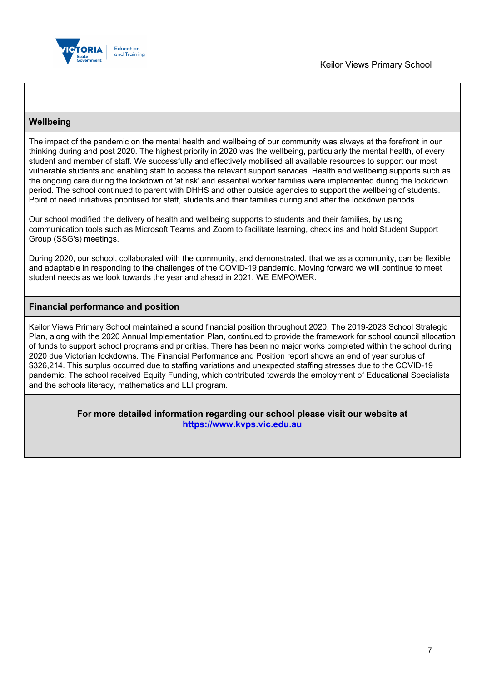

## **Wellbeing**

The impact of the pandemic on the mental health and wellbeing of our community was always at the forefront in our thinking during and post 2020. The highest priority in 2020 was the wellbeing, particularly the mental health, of every student and member of staff. We successfully and effectively mobilised all available resources to support our most vulnerable students and enabling staff to access the relevant support services. Health and wellbeing supports such as the ongoing care during the lockdown of 'at risk' and essential worker families were implemented during the lockdown period. The school continued to parent with DHHS and other outside agencies to support the wellbeing of students. Point of need initiatives prioritised for staff, students and their families during and after the lockdown periods.

Our school modified the delivery of health and wellbeing supports to students and their families, by using communication tools such as Microsoft Teams and Zoom to facilitate learning, check ins and hold Student Support Group (SSG's) meetings.

During 2020, our school, collaborated with the community, and demonstrated, that we as a community, can be flexible and adaptable in responding to the challenges of the COVID-19 pandemic. Moving forward we will continue to meet student needs as we look towards the year and ahead in 2021. WE EMPOWER.

## **Financial performance and position**

Keilor Views Primary School maintained a sound financial position throughout 2020. The 2019-2023 School Strategic Plan, along with the 2020 Annual Implementation Plan, continued to provide the framework for school council allocation of funds to support school programs and priorities. There has been no major works completed within the school during 2020 due Victorian lockdowns. The Financial Performance and Position report shows an end of year surplus of \$326,214. This surplus occurred due to staffing variations and unexpected staffing stresses due to the COVID-19 pandemic. The school received Equity Funding, which contributed towards the employment of Educational Specialists and the schools literacy, mathematics and LLI program.

> **For more detailed information regarding our school please visit our website at https://www.kvps.vic.edu.au**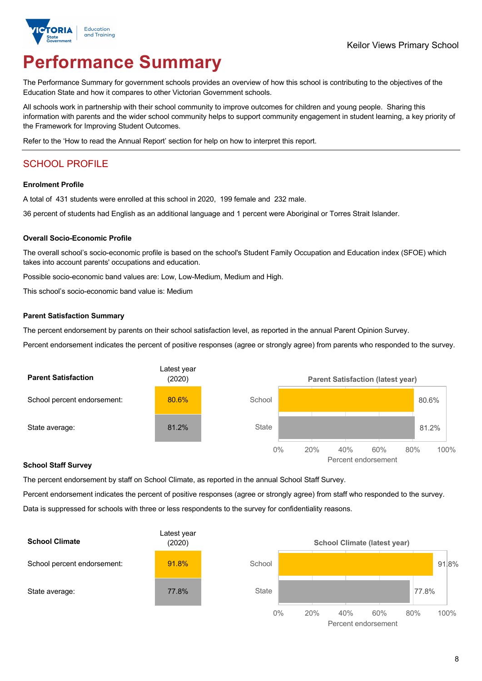

# **Performance Summary**

The Performance Summary for government schools provides an overview of how this school is contributing to the objectives of the Education State and how it compares to other Victorian Government schools.

All schools work in partnership with their school community to improve outcomes for children and young people. Sharing this information with parents and the wider school community helps to support community engagement in student learning, a key priority of the Framework for Improving Student Outcomes.

Refer to the 'How to read the Annual Report' section for help on how to interpret this report.

## SCHOOL PROFILE

### **Enrolment Profile**

A total of 431 students were enrolled at this school in 2020, 199 female and 232 male.

36 percent of students had English as an additional language and 1 percent were Aboriginal or Torres Strait Islander.

### **Overall Socio-Economic Profile**

The overall school's socio-economic profile is based on the school's Student Family Occupation and Education index (SFOE) which takes into account parents' occupations and education.

Possible socio-economic band values are: Low, Low-Medium, Medium and High.

This school's socio-economic band value is: Medium

#### **Parent Satisfaction Summary**

The percent endorsement by parents on their school satisfaction level, as reported in the annual Parent Opinion Survey.

Percent endorsement indicates the percent of positive responses (agree or strongly agree) from parents who responded to the survey.



#### **School Staff Survey**

The percent endorsement by staff on School Climate, as reported in the annual School Staff Survey.

Percent endorsement indicates the percent of positive responses (agree or strongly agree) from staff who responded to the survey. Data is suppressed for schools with three or less respondents to the survey for confidentiality reasons.



Percent endorsement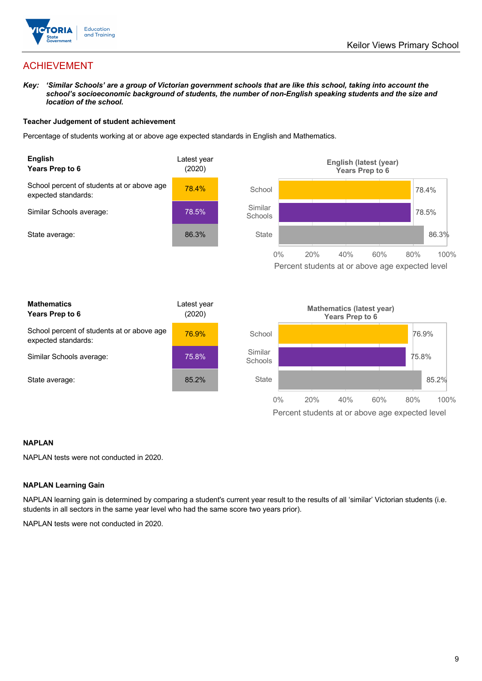

## ACHIEVEMENT

*Key: 'Similar Schools' are a group of Victorian government schools that are like this school, taking into account the*  school's socioeconomic background of students, the number of non-English speaking students and the size and *location of the school.*

### **Teacher Judgement of student achievement**

Percentage of students working at or above age expected standards in English and Mathematics.



### **NAPLAN**

NAPLAN tests were not conducted in 2020.

### **NAPLAN Learning Gain**

NAPLAN learning gain is determined by comparing a student's current year result to the results of all 'similar' Victorian students (i.e. students in all sectors in the same year level who had the same score two years prior).

NAPLAN tests were not conducted in 2020.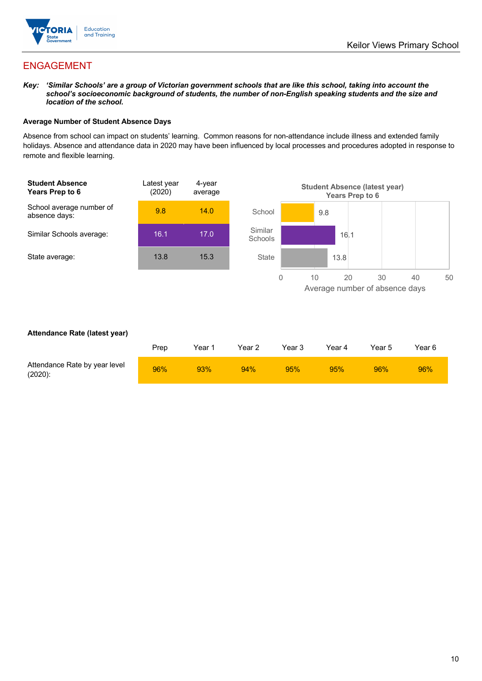

## ENGAGEMENT

*Key: 'Similar Schools' are a group of Victorian government schools that are like this school, taking into account the*  school's socioeconomic background of students, the number of non-English speaking students and the size and *location of the school.*

### **Average Number of Student Absence Days**

Absence from school can impact on students' learning. Common reasons for non-attendance include illness and extended family holidays. Absence and attendance data in 2020 may have been influenced by local processes and procedures adopted in response to remote and flexible learning.



### **Attendance Rate (latest year)**

|                                             | Prep | Year 1 | Year 2 | Year 3 | Year 4 | Year 5 | Year 6 |
|---------------------------------------------|------|--------|--------|--------|--------|--------|--------|
| Attendance Rate by year level<br>$(2020)$ : | 96%  | 93%    | 94%    | 95%    | 95%    | 96%    | 96%    |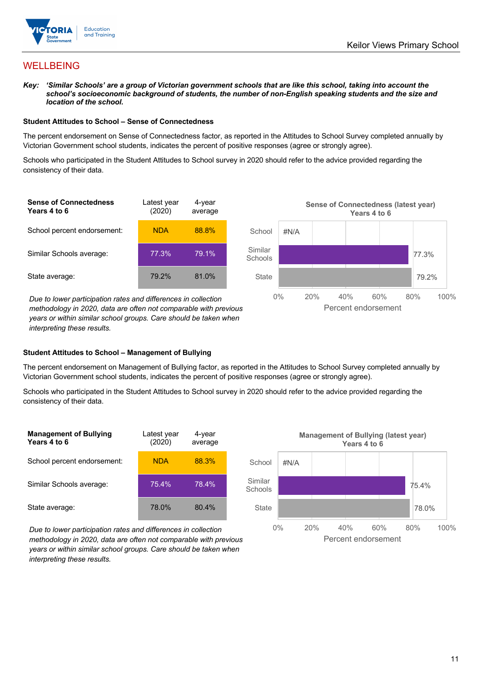

## WELLBEING

*Key: 'Similar Schools' are a group of Victorian government schools that are like this school, taking into account the*  school's socioeconomic background of students, the number of non-English speaking students and the size and *location of the school.*

#### **Student Attitudes to School – Sense of Connectedness**

The percent endorsement on Sense of Connectedness factor, as reported in the Attitudes to School Survey completed annually by Victorian Government school students, indicates the percent of positive responses (agree or strongly agree).

Schools who participated in the Student Attitudes to School survey in 2020 should refer to the advice provided regarding the consistency of their data.



*methodology in 2020, data are often not comparable with previous years or within similar school groups. Care should be taken when interpreting these results.*

### **Student Attitudes to School – Management of Bullying**

The percent endorsement on Management of Bullying factor, as reported in the Attitudes to School Survey completed annually by Victorian Government school students, indicates the percent of positive responses (agree or strongly agree).

Schools who participated in the Student Attitudes to School survey in 2020 should refer to the advice provided regarding the consistency of their data.

| <b>Management of Bullying</b><br>Years 4 to 6 | Latest year<br>(2020) | 4-year<br>average |
|-----------------------------------------------|-----------------------|-------------------|
| School percent endorsement:                   | NDA                   | 88.3%             |
| Similar Schools average:                      | 75.4%                 | 78.4%             |
| State average:                                | 78.0%                 | 80.4%             |

*Due to lower participation rates and differences in collection methodology in 2020, data are often not comparable with previous years or within similar school groups. Care should be taken when interpreting these results.*



Percent endorsement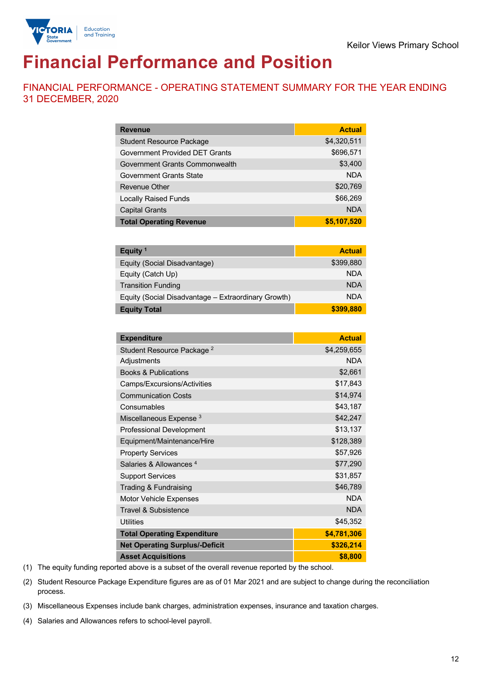

# **Financial Performance and Position**

FINANCIAL PERFORMANCE - OPERATING STATEMENT SUMMARY FOR THE YEAR ENDING 31 DECEMBER, 2020

| <b>Revenue</b>                        | <b>Actual</b> |
|---------------------------------------|---------------|
| <b>Student Resource Package</b>       | \$4,320,511   |
| <b>Government Provided DET Grants</b> | \$696,571     |
| Government Grants Commonwealth        | \$3,400       |
| Government Grants State               | <b>NDA</b>    |
| Revenue Other                         | \$20,769      |
| <b>Locally Raised Funds</b>           | \$66,269      |
| <b>Capital Grants</b>                 | <b>NDA</b>    |
| <b>Total Operating Revenue</b>        | \$5,107,520   |

| Equity $1$                                          | <b>Actual</b> |
|-----------------------------------------------------|---------------|
| Equity (Social Disadvantage)                        | \$399,880     |
| Equity (Catch Up)                                   | <b>NDA</b>    |
| <b>Transition Funding</b>                           | <b>NDA</b>    |
| Equity (Social Disadvantage – Extraordinary Growth) | <b>NDA</b>    |
| <b>Equity Total</b>                                 | \$399,880     |

| <b>Expenditure</b>                    | <b>Actual</b> |
|---------------------------------------|---------------|
| Student Resource Package <sup>2</sup> | \$4,259,655   |
| Adjustments                           | <b>NDA</b>    |
| <b>Books &amp; Publications</b>       | \$2,661       |
| Camps/Excursions/Activities           | \$17,843      |
| <b>Communication Costs</b>            | \$14,974      |
| Consumables                           | \$43,187      |
| Miscellaneous Expense <sup>3</sup>    | \$42,247      |
| <b>Professional Development</b>       | \$13,137      |
| Equipment/Maintenance/Hire            | \$128,389     |
| <b>Property Services</b>              | \$57,926      |
| Salaries & Allowances <sup>4</sup>    | \$77,290      |
| <b>Support Services</b>               | \$31,857      |
| Trading & Fundraising                 | \$46,789      |
| Motor Vehicle Expenses                | <b>NDA</b>    |
| <b>Travel &amp; Subsistence</b>       | <b>NDA</b>    |
| <b>Utilities</b>                      | \$45,352      |
| <b>Total Operating Expenditure</b>    | \$4,781,306   |
| <b>Net Operating Surplus/-Deficit</b> | \$326,214     |
| <b>Asset Acquisitions</b>             | \$8,800       |

(1) The equity funding reported above is a subset of the overall revenue reported by the school.

(2) Student Resource Package Expenditure figures are as of 01 Mar 2021 and are subject to change during the reconciliation process.

(3) Miscellaneous Expenses include bank charges, administration expenses, insurance and taxation charges.

(4) Salaries and Allowances refers to school-level payroll.